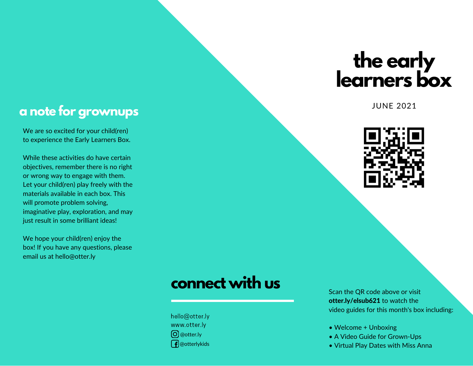# **the early learners box**

#### JUNE 2021



#### **a note for grownups**

We are so excited for your child(ren) to experience the Early Learners Box.

While these activities do have certain objectives, remember there is no right or wrong way to engage with them. Let your child(ren) play freely with the materials available in each box. This will promote problem solving, imaginative play, exploration, and may just result in some brilliant ideas!

We hope your child(ren) enjoy the box! If you have any questions, please email us at hello@otter.ly

## **connect with us**

hello@otter.ly www.otter.ly @otter.ly  $\int$  @otterlykids

Scan the QR code above or visit otter.ly/elsub621 to watch the video guides for this month's box including:

- Welcome + Unboxing
- A Video Guide for Grown-Ups
- Virtual Play Dates with Miss Anna